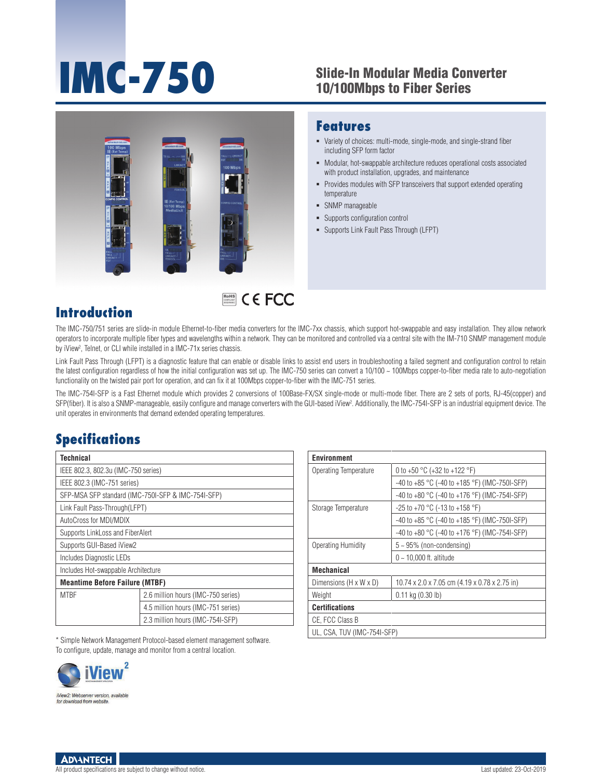# **IMC-750** Slide-In Modular Media Converter<br>10/100Mbps to Fiber Series

Variety of choices: multi-mode, single-mode, and single-strand fiber

with product installation, upgrades, and maintenance

Modular, hot-swappable architecture reduces operational costs associated

Provides modules with SFP transceivers that support extended operating

**Features**

temperature • SNMP manageable

including SFP form factor

 Supports configuration control Supports Link Fault Pass Through (LFPT)



## RoHS **COMPLIANT** 2002/95/EC

### **Introduction**

The IMC-750/751 series are slide-in module Ethernet-to-fiber media converters for the IMC-7xx chassis, which support hot-swappable and easy installation. They allow network operators to incorporate multiple fiber types and wavelengths within a network. They can be monitored and controlled via a central site with the IM-710 SNMP management module by iView2 , Telnet, or CLI while installed in a IMC-71x series chassis.

Link Fault Pass Through (LFPT) is a diagnostic feature that can enable or disable links to assist end users in troubleshooting a failed segment and configuration control to retain the latest configuration regardless of how the initial configuration was set up. The IMC-750 series can convert a 10/100 ~ 100Mbps copper-to-fiber media rate to auto-negotiation functionality on the twisted pair port for operation, and can fix it at 100Mbps copper-to-fiber with the IMC-751 series.

The IMC-754I-SFP is a Fast Ethernet module which provides 2 conversions of 100Base-FX/SX single-mode or multi-mode fiber. There are 2 sets of ports, RJ-45(copper) and SFP(fiber). It is also a SNMP-manageable, easily configure and manage converters with the GUI-based iView2 . Additionally, the IMC-754I-SFP is an industrial equipment device. The unit operates in environments that demand extended operating temperatures.

### **Specifications**

| <b>Technical</b>                                   |                                    |  |  |  |  |
|----------------------------------------------------|------------------------------------|--|--|--|--|
| IEEE 802.3, 802.3u (IMC-750 series)                |                                    |  |  |  |  |
| IEEE 802.3 (IMC-751 series)                        |                                    |  |  |  |  |
| SFP-MSA SFP standard (IMC-750I-SFP & IMC-754I-SFP) |                                    |  |  |  |  |
| Link Fault Pass-Through(LFPT)                      |                                    |  |  |  |  |
| AutoCross for MDI/MDIX                             |                                    |  |  |  |  |
| Supports LinkLoss and FiberAlert                   |                                    |  |  |  |  |
| Supports GUI-Based iView2                          |                                    |  |  |  |  |
| Includes Diagnostic LEDs                           |                                    |  |  |  |  |
| Includes Hot-swappable Architecture                |                                    |  |  |  |  |
| <b>Meantime Before Failure (MTBF)</b>              |                                    |  |  |  |  |
| <b>MTRF</b>                                        | 2.6 million hours (IMC-750 series) |  |  |  |  |
|                                                    | 4.5 million hours (IMC-751 series) |  |  |  |  |
|                                                    | 2.3 million hours (IMC-754I-SFP)   |  |  |  |  |

| <b>Environment</b>          |                                                        |  |  |  |  |
|-----------------------------|--------------------------------------------------------|--|--|--|--|
| Operating Temperature       | 0 to +50 $^{\circ}$ C (+32 to +122 $^{\circ}$ F)       |  |  |  |  |
|                             | -40 to +85 °C (-40 to +185 °F) (IMC-750I-SFP)          |  |  |  |  |
|                             | $-40$ to $+80$ °C ( $-40$ to $+176$ °F) (IMC-754I-SFP) |  |  |  |  |
| Storage Temperature         | $-25$ to $+70$ °C (-13 to $+158$ °F)                   |  |  |  |  |
|                             | $-40$ to $+85$ °C (-40 to $+185$ °F) (IMC-750I-SFP)    |  |  |  |  |
|                             | $-40$ to $+80$ °C (-40 to $+176$ °F) (IMC-754I-SFP)    |  |  |  |  |
| Operating Humidity          | $5 \sim 95\%$ (non-condensing)                         |  |  |  |  |
|                             | $0 \sim 10,000$ ft. altitude                           |  |  |  |  |
| Mechanical                  |                                                        |  |  |  |  |
| Dimensions (H x W x D)      | 10.74 x 2.0 x 7.05 cm (4.19 x 0.78 x 2.75 in)          |  |  |  |  |
| Weight                      | $0.11$ kg $(0.30$ lb)                                  |  |  |  |  |
| Certifications              |                                                        |  |  |  |  |
| CE, FCC Class B             |                                                        |  |  |  |  |
| UL, CSA, TUV (IMC-754I-SFP) |                                                        |  |  |  |  |

\* Simple Network Management Protocol-based element management software. To configure, update, manage and monitor from a central location.